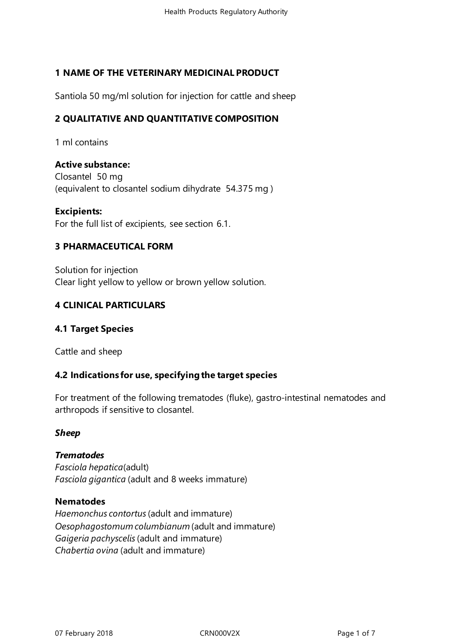# **1 NAME OF THE VETERINARY MEDICINAL PRODUCT**

Santiola 50 mg/ml solution for injection for cattle and sheep

# **2 QUALITATIVE AND QUANTITATIVE COMPOSITION**

1 ml contains

**Active substance:** Closantel 50 mg (equivalent to closantel sodium dihydrate 54.375 mg )

**Excipients:** For the full list of excipients, see section 6.1.

#### **3 PHARMACEUTICAL FORM**

Solution for injection Clear light yellow to yellow or brown yellow solution.

## **4 CLINICAL PARTICULARS**

## **4.1 Target Species**

Cattle and sheep

#### **4.2 Indications for use, specifyingthe target species**

For treatment of the following trematodes (fluke), gastro-intestinal nematodes and arthropods if sensitive to closantel.

#### *Sheep*

# *Trematodes*

*Fasciola hepatica*(adult) *Fasciola gigantica* (adult and 8 weeks immature)

#### **Nematodes**

*Haemonchus contortus*(adult and immature) *Oesophagostomum columbianum* (adult and immature) *Gaigeria pachyscelis*(adult and immature) *Chabertia ovina* (adult and immature)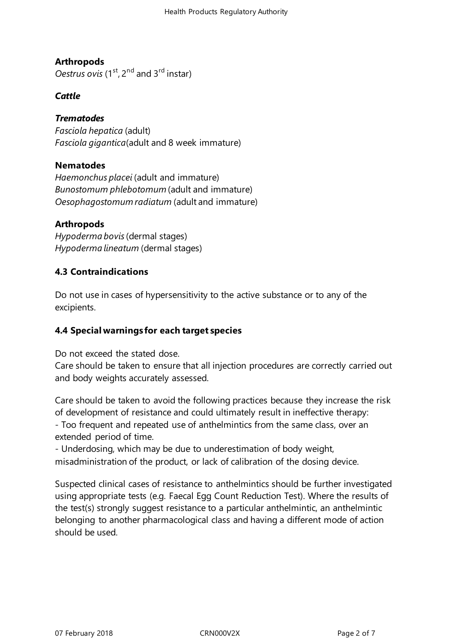# **Arthropods**

*Oestrus ovis* (1<sup>st</sup>, 2<sup>nd</sup> and 3<sup>rd</sup> instar)

#### *Cattle*

#### *Trematodes*

*Fasciola hepatica* (adult) *Fasciola gigantica*(adult and 8 week immature)

#### **Nematodes**

*Haemonchus placei* (adult and immature) *Bunostomum phlebotomum* (adult and immature) *Oesophagostomum radiatum* (adult and immature)

#### **Arthropods**

*Hypoderma bovis*(dermal stages) *Hypoderma lineatum* (dermal stages)

#### **4.3 Contraindications**

Do not use in cases of hypersensitivity to the active substance or to any of the excipients.

## **4.4 Special warnings for each target species**

Do not exceed the stated dose.

Care should be taken to ensure that all injection procedures are correctly carried out and body weights accurately assessed.

Care should be taken to avoid the following practices because they increase the risk of development of resistance and could ultimately result in ineffective therapy: - Too frequent and repeated use of anthelmintics from the same class, over an extended period of time.

- Underdosing, which may be due to underestimation of body weight, misadministration of the product, or lack of calibration of the dosing device.

Suspected clinical cases of resistance to anthelmintics should be further investigated using appropriate tests (e.g. Faecal Egg Count Reduction Test). Where the results of the test(s) strongly suggest resistance to a particular anthelmintic, an anthelmintic belonging to another pharmacological class and having a different mode of action should be used.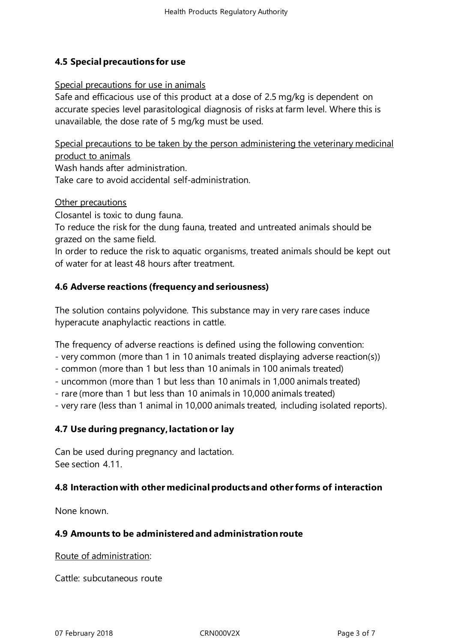# **4.5 Special precautions for use**

#### Special precautions for use in animals

Safe and efficacious use of this product at a dose of 2.5 mg/kg is dependent on accurate species level parasitological diagnosis of risks at farm level. Where this is unavailable, the dose rate of 5 mg/kg must be used.

Special precautions to be taken by the person administering the veterinary medicinal product to animals

Wash hands after administration.

Take care to avoid accidental self-administration.

#### Other precautions

Closantel is toxic to dung fauna.

To reduce the risk for the dung fauna, treated and untreated animals should be grazed on the same field.

In order to reduce the risk to aquatic organisms, treated animals should be kept out of water for at least 48 hours after treatment.

## **4.6 Adverse reactions (frequency and seriousness)**

The solution contains polyvidone. This substance may in very rare cases induce hyperacute anaphylactic reactions in cattle.

The frequency of adverse reactions is defined using the following convention:

- very common (more than 1 in 10 animals treated displaying adverse reaction(s))

- common (more than 1 but less than 10 animals in 100 animals treated)
- uncommon (more than 1 but less than 10 animals in 1,000 animals treated)
- rare (more than 1 but less than 10 animals in 10,000 animals treated)

- very rare (less than 1 animal in 10,000 animals treated, including isolated reports).

#### **4.7 Use during pregnancy,lactation or lay**

Can be used during pregnancy and lactation. See section 4.11.

## **4.8 Interactionwith other medicinal productsand otherforms of interaction**

None known.

## **4.9 Amounts to be administeredand administration route**

Route of administration:

Cattle: subcutaneous route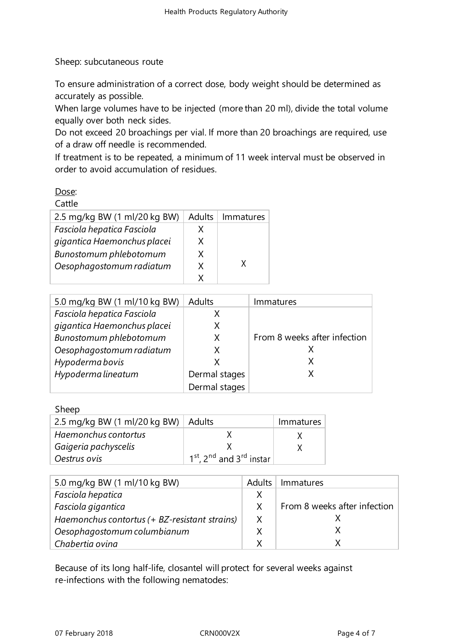Sheep: subcutaneous route

To ensure administration of a correct dose, body weight should be determined as accurately as possible.

When large volumes have to be injected (more than 20 ml), divide the total volume equally over both neck sides.

Do not exceed 20 broachings per vial. If more than 20 broachings are required, use of a draw off needle is recommended.

If treatment is to be repeated, a minimum of 11 week interval must be observed in order to avoid accumulation of residues.

# Dose:

| ľ<br>Ш.<br>,<br>c |  |
|-------------------|--|
|-------------------|--|

| 2.5 mg/kg BW (1 ml/20 kg BW) | Adults | Immatures |
|------------------------------|--------|-----------|
| Fasciola hepatica Fasciola   | x      |           |
| gigantica Haemonchus placei  | X      |           |
| Bunostomum phlebotomum       | X      |           |
| Oesophagostomum radiatum     | X      | x         |
|                              |        |           |

| 5.0 mg/kg BW (1 ml/10 kg BW) | Adults        | Immatures                    |
|------------------------------|---------------|------------------------------|
| Fasciola hepatica Fasciola   | Χ             |                              |
| gigantica Haemonchus placei  | Χ             |                              |
| Bunostomum phlebotomum       | X             | From 8 weeks after infection |
| Oesophagostomum radiatum     | X             |                              |
| Hypoderma bovis              | x             | X                            |
| Hypoderma lineatum           | Dermal stages | X                            |
|                              | Dermal stages |                              |

#### Sheep

| 2.5 mg/kg BW (1 ml/20 kg BW) $\vert$ Adults |                                                              | Immatures |
|---------------------------------------------|--------------------------------------------------------------|-----------|
| Haemonchus contortus                        |                                                              |           |
| Gaigeria pachyscelis                        |                                                              |           |
| Oestrus ovis                                | 1 <sup>st</sup> , 2 <sup>nd</sup> and 3 <sup>rd</sup> instar |           |

| 5.0 mg/kg BW (1 ml/10 kg BW)                  | Adults | Immatures                    |
|-----------------------------------------------|--------|------------------------------|
| Fasciola hepatica                             | X      |                              |
| Fasciola gigantica                            | X      | From 8 weeks after infection |
| Haemonchus contortus (+ BZ-resistant strains) | X      |                              |
| Oesophagostomum columbianum                   |        |                              |
| Chabertia ovina                               | x      |                              |

Because of its long half-life, closantel will protect for several weeks against re-infections with the following nematodes: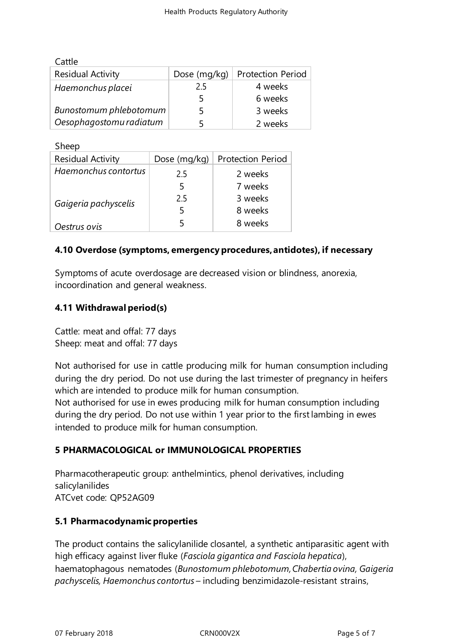| Cattle                   |              |                          |
|--------------------------|--------------|--------------------------|
| <b>Residual Activity</b> | Dose (mg/kg) | <b>Protection Period</b> |
| Haemonchus placei        | 2.5          | 4 weeks                  |
|                          |              | 6 weeks                  |
| Bunostomum phlebotomum   |              | 3 weeks                  |
| Oesophagostomu radiatum  |              | 2 weeks                  |

Sheep

| <b>Residual Activity</b> | Dose (mg/kg) | <b>Protection Period</b> |
|--------------------------|--------------|--------------------------|
| Haemonchus contortus     | 2.5          | 2 weeks                  |
|                          | 5            | 7 weeks                  |
| Gaigeria pachyscelis     | 2.5          | 3 weeks                  |
|                          | 5            | 8 weeks                  |
| Oestrus ovis             | 5            | 8 weeks                  |

## **4.10 Overdose (symptoms, emergency procedures,antidotes), if necessary**

Symptoms of acute overdosage are decreased vision or blindness, anorexia, incoordination and general weakness.

# **4.11 Withdrawal period(s)**

Cattle: meat and offal: 77 days Sheep: meat and offal: 77 days

Not authorised for use in cattle producing milk for human consumption including during the dry period. Do not use during the last trimester of pregnancy in heifers which are intended to produce milk for human consumption.

Not authorised for use in ewes producing milk for human consumption including during the dry period. Do not use within 1 year prior to the firstlambing in ewes intended to produce milk for human consumption.

# **5 PHARMACOLOGICAL or IMMUNOLOGICAL PROPERTIES**

Pharmacotherapeutic group: anthelmintics, phenol derivatives, including salicylanilides ATCvet code: QP52AG09

## **5.1 Pharmacodynamic properties**

The product contains the salicylanilide closantel, a synthetic antiparasitic agent with high efficacy against liver fluke (*Fasciola gigantica and Fasciola hepatica*), haematophagous nematodes (*Bunostomum phlebotomum,Chabertia ovina, Gaigeria pachyscelis, Haemonchus contortus* – including benzimidazole-resistant strains,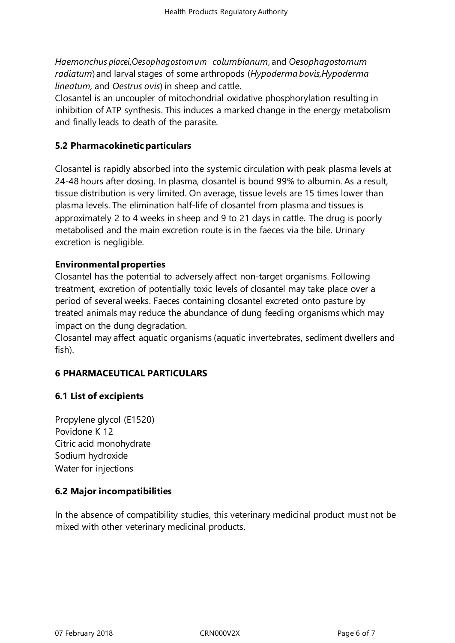*Haemonchus placei,Oesophagostomum columbianum*, and *Oesophagostomum radiatum*) and larval stages of some arthropods (*Hypoderma bovis,Hypoderma lineatum,* and *Oestrus ovis*) in sheep and cattle.

Closantel is an uncoupler of mitochondrial oxidative phosphorylation resulting in inhibition of ATP synthesis. This induces a marked change in the energy metabolism and finally leads to death of the parasite.

#### **5.2 Pharmacokinetic particulars**

Closantel is rapidly absorbed into the systemic circulation with peak plasma levels at 24-48 hours after dosing. In plasma, closantel is bound 99% to albumin. As a result, tissue distribution is very limited. On average, tissue levels are 15 times lower than plasma levels. The elimination half-life of closantel from plasma and tissues is approximately 2 to 4 weeks in sheep and 9 to 21 days in cattle. The drug is poorly metabolised and the main excretion route is in the faeces via the bile. Urinary excretion is negligible.

#### **Environmental properties**

Closantel has the potential to adversely affect non-target organisms. Following treatment, excretion of potentially toxic levels of closantel may take place over a period of several weeks. Faeces containing closantel excreted onto pasture by treated animals may reduce the abundance of dung feeding organisms which may impact on the dung degradation.

Closantel may affect aquatic organisms (aquatic invertebrates, sediment dwellers and fish).

## **6 PHARMACEUTICAL PARTICULARS**

## **6.1 List of excipients**

Propylene glycol (E1520) Povidone K 12 Citric acid monohydrate Sodium hydroxide Water for injections

## **6.2 Major incompatibilities**

In the absence of compatibility studies, this veterinary medicinal product must not be mixed with other veterinary medicinal products.